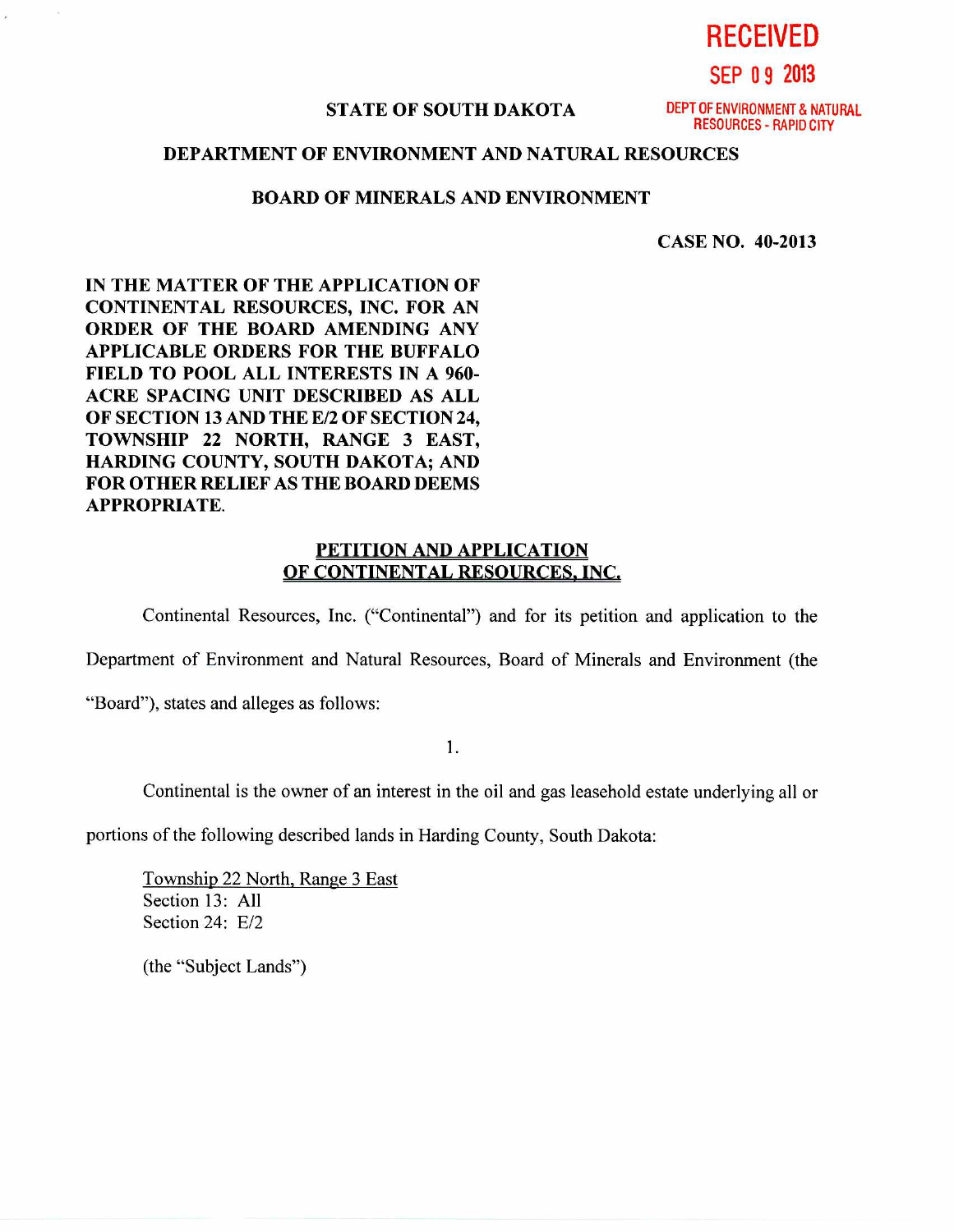**RECEIVED** 

**SEP 0 9 2013** 

## **STATE OF SOUTH DAKOTA** DEPT OF ENVIRONMENT & NATURAL

RESOURCES - RAPID CITY

## **DEPARTMENT OF ENVIRONMENT AND NATURAL RESOURCES**

## **BOARD OF MINERALS AND ENVIRONMENT**

**CASE NO. 40-2013** 

**IN THE MATTER OF THE APPLICATION OF CONTINENTAL RESOURCES, INC. FOR AN ORDER OF THE BOARD AMENDING ANY APPLICABLE ORDERS FOR THE BUFFALO FIELD TO POOL ALL INTERESTS IN A 960- ACRE SPACING UNIT DESCRIBED AS ALL OF SECTION 13 AND THE E/2 OF SECTION 24, TOWNSHIP 22 NORTH, RANGE 3 EAST, HARDING COUNTY, SOUTH DAKOTA; AND FOR OTHER RELIEF AS THE BOARD DEEMS APPROPRIATE.** 

## **PETITION AND APPLICATION OF CONTINENTAL RESOURCES, INC,**

Continental Resources, Inc. ("Continental") and for its petition and application to the

Department of Environment and Natural Resources, Board of Minerals and Environment (the

"Board"), states and alleges as follows:

 $1.$ 

Continental is the owner of an interest in the oil and gas leasehold estate underlying all or

portions of the following described lands in Harding County, South Dakota:

Township 22 North, Range 3 East Section 13: All Section 24: E/2

(the "Subject Lands")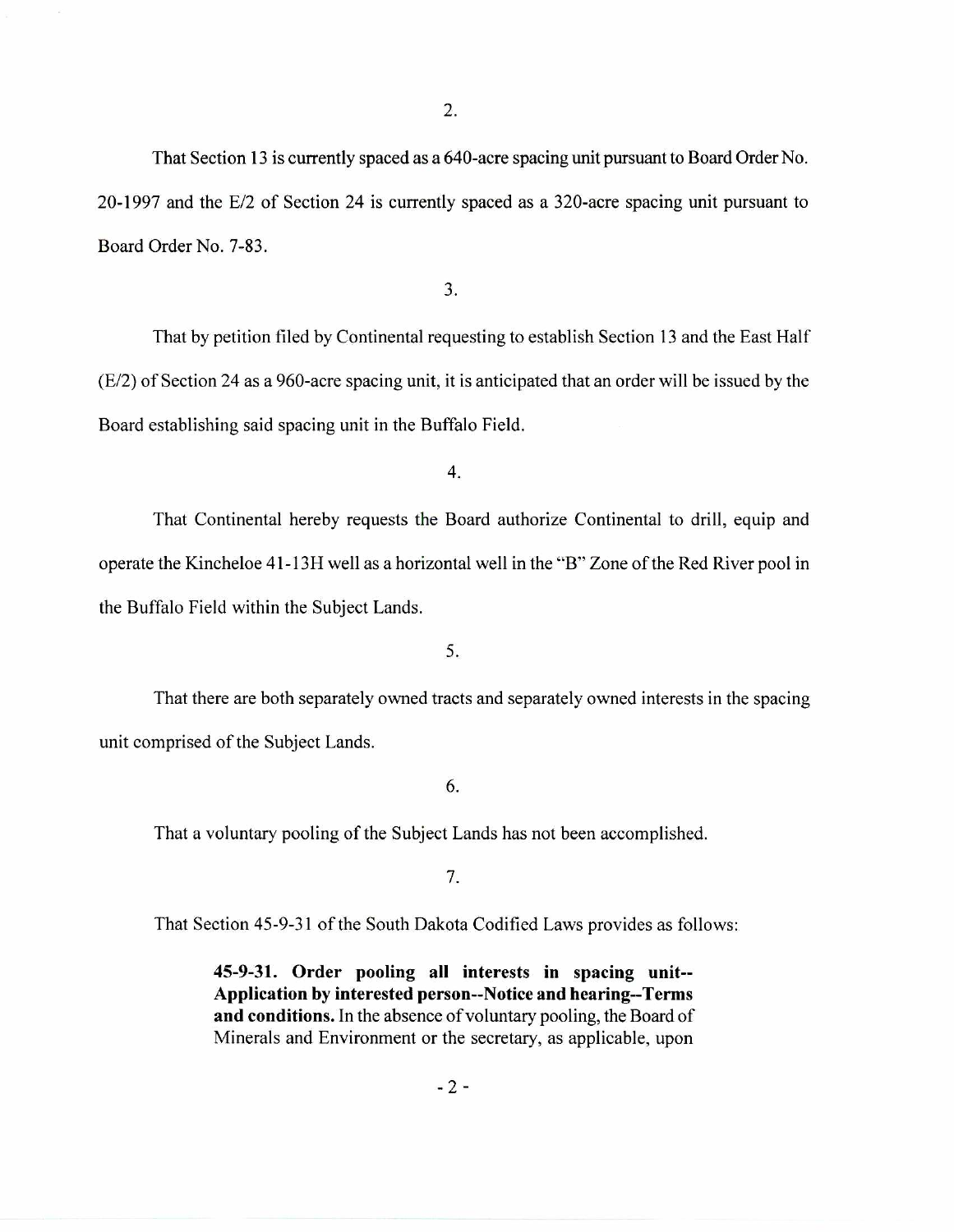That Section 13 is currently spaced as a 640-acre spacing unit pursuant to Board Order No. 20-1997 and the E/2 of Section 24 is currently spaced as a 320-acre spacing unit pursuant to Board Order No. 7-83.

3.

That by petition filed by Continental requesting to establish Section 13 and the East Half (E/2) of Section 24 as a 960-acre spacing unit, it is anticipated that an order will be issued by the Board establishing said spacing unit in the Buffalo Field.

4.

That Continental hereby requests the Board authorize Continental to drill, equip and operate the Kincheloe 41-13H well as a horizontal well in the "B" Zone of the Red River pool in the Buffalo Field within the Subject Lands.

5.

That there are both separately owned tracts and separately owned interests in the spacing unit comprised of the Subject Lands.

6.

That a voluntary pooling of the Subject Lands has not been accomplished.

7.

That Section 45-9-31 of the South Dakota Codified Laws provides as follows:

**45-9-31. Order pooling all interests in spacing unit-- Application by interested person--Notice and hearing--Terms and conditions.** In the absence of voluntary pooling, the Board of Minerals and Environment or the secretary, as applicable, upon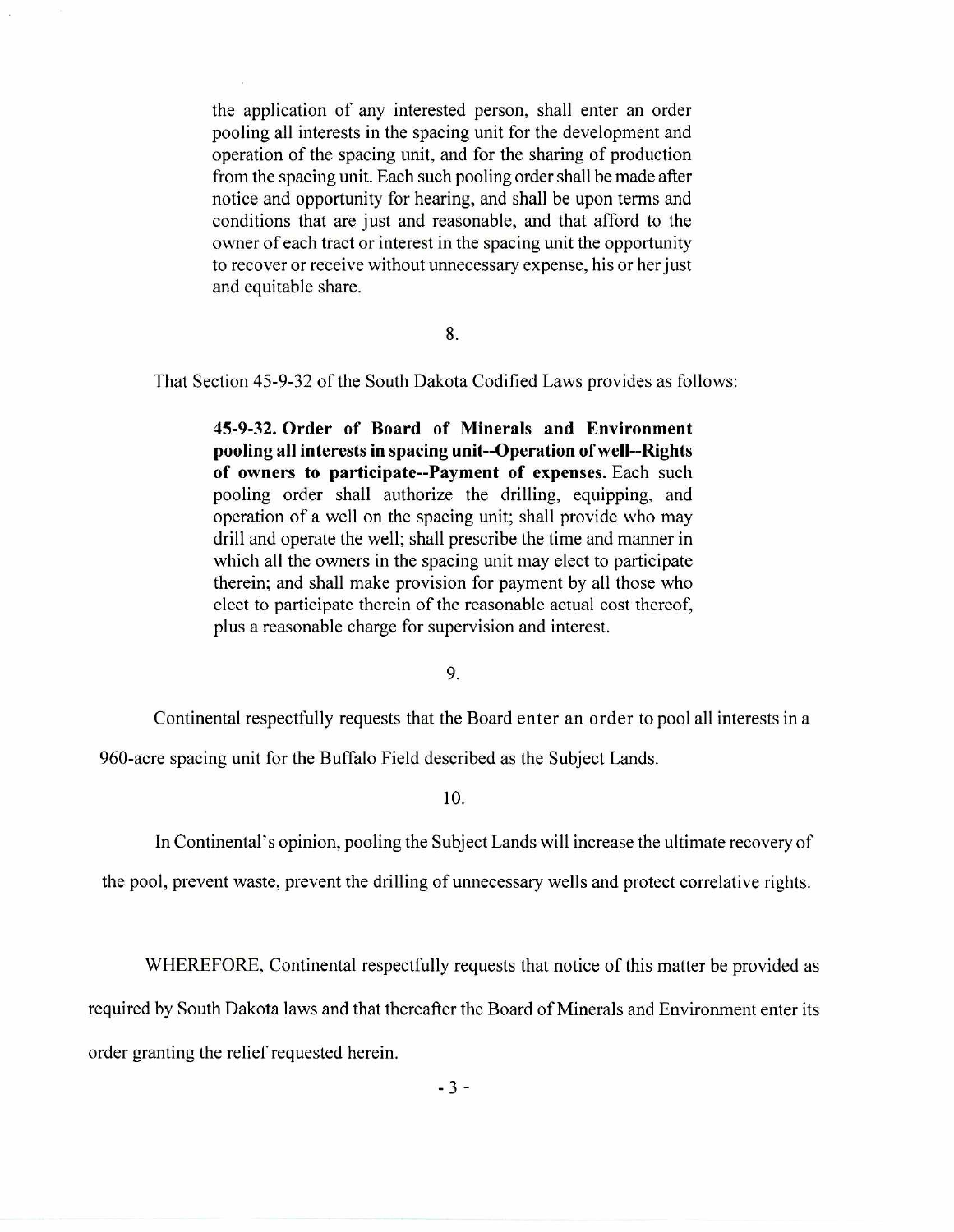the application of any interested person, shall enter an order pooling all interests in the spacing unit for the development and operation of the spacing unit, and for the sharing of production from the spacing unit. Each such pooling order shall be made after notice and opportunity for hearing, and shall be upon terms and conditions that are just and reasonable, and that afford to the owner of each tract or interest in the spacing unit the opportunity to recover or receive without unnecessary expense, his or her just and equitable share.

8.

That Section 45-9-32 of the South Dakota Codified Laws provides as follows:

**45-9-32. Order of Board of Minerals and Environment pooling all interests in spacing unit--Operation of well--Rights of owners to participate--Payment of expenses.** Each such pooling order shall authorize the drilling, equipping, and operation of a well on the spacing unit; shall provide who may drill and operate the well; shall prescribe the time and manner in which all the owners in the spacing unit may elect to participate therein; and shall make provision for payment by all those who elect to participate therein of the reasonable actual cost thereof, plus a reasonable charge for supervision and interest.

9.

Continental respectfully requests that the Board enter an order to pool all interests in a

960-acre spacing unit for the Buffalo Field described as the Subject Lands.

**10.** 

In Continental's opinion, pooling the Subject Lands will increase the ultimate recovery of

the pool, prevent waste, prevent the drilling of unnecessary wells and protect correlative rights.

WHEREFORE, Continental respectfully requests that notice of this matter be provided as

required by South Dakota laws and that thereafter the Board of Minerals and Environment enter its

order granting the relief requested herein.